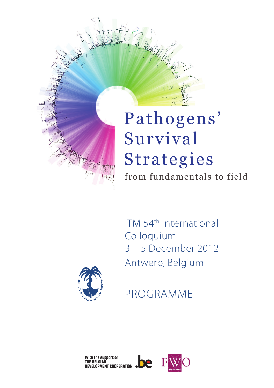

from fundamentals to field



ITM 54th International Colloquium 3 – 5 December 2012 Antwerp, Belgium

PROGRAMME

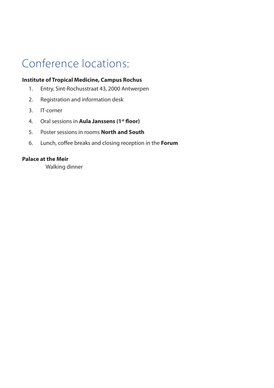# Conference locations:

#### **Institute of Tropical Medicine, Campus Rochus**

- 1. Entry, Sint-Rochusstraat 43, 2000 Antwerpen
- 2. Registration and information desk
- 3. IT-corner
- 4. Oral sessions in **Aula Janssens (1st floor)**
- 5. Poster sessions in rooms **North and South**
- 6. Lunch, coffee breaks and closing reception in the **Forum**

### **Palace at the Meir**

Walking dinner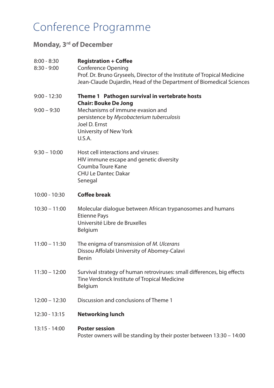## Conference Programme

## **Monday, 3rd of December**

| 8:00 - 8:30     | <b>Registration + Coffee</b>                                                                                                                                                 |
|-----------------|------------------------------------------------------------------------------------------------------------------------------------------------------------------------------|
| 8:30 - 9:00     | <b>Conference Opening</b><br>Prof. Dr. Bruno Gryseels, Director of the Institute of Tropical Medicine<br>Jean-Claude Dujardin, Head of the Department of Biomedical Sciences |
| 9:00 - 12:30    | Theme 1 Pathogen survival in vertebrate hosts<br><b>Chair: Bouke De Jong</b>                                                                                                 |
| $9:00 - 9:30$   | Mechanisms of immune evasion and<br>persistence by Mycobacterium tuberculosis<br>Joel D. Ernst<br>University of New York<br>U.S.A.                                           |
| $9:30 - 10:00$  | Host cell interactions and viruses:<br>HIV immune escape and genetic diversity<br>Coumba Toure Kane<br><b>CHU Le Dantec Dakar</b><br>Senegal                                 |
| 10:00 - 10:30   | <b>Coffee break</b>                                                                                                                                                          |
| $10:30 - 11:00$ | Molecular dialogue between African trypanosomes and humans<br><b>Etienne Pays</b><br>Université Libre de Bruxelles<br>Belgium                                                |
| $11:00 - 11:30$ | The enigma of transmission of M. Ulcerans<br>Dissou Affolabi University of Abomey-Calavi<br>Benin                                                                            |
| $11:30 - 12:00$ | Survival strategy of human retroviruses: small differences, big effects<br>Tine Verdonck Institute of Tropical Medicine<br>Belgium                                           |
| $12:00 - 12:30$ | Discussion and conclusions of Theme 1                                                                                                                                        |
| 12:30 - 13:15   | <b>Networking lunch</b>                                                                                                                                                      |
| 13:15 - 14:00   | <b>Poster session</b><br>Poster owners will be standing by their poster between 13:30 - 14:00                                                                                |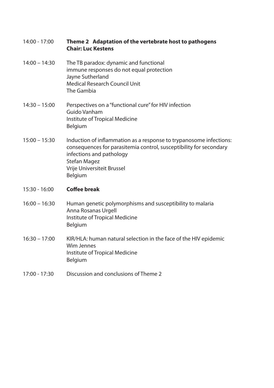| 14:00 - 17:00 |                           | Theme 2 Adaptation of the vertebrate host to pathogens |
|---------------|---------------------------|--------------------------------------------------------|
|               | <b>Chair: Luc Kestens</b> |                                                        |

- 14:00 14:30 The TB paradox: dynamic and functional immune responses do not equal protection Jayne Sutherland Medical Research Council Unit The Gambia
- 14:30 15:00 Perspectives on a "functional cure" for HIV infection Guido Vanham Institute of Tropical Medicine Belgium
- 15:00 15:30 Induction of inflammation as a response to trypanosome infections: consequences for parasitemia control, susceptibility for secondary infections and pathology Stefan Magez Vrije Universiteit Brussel Belgium

#### 15:30 - 16:00 **Coffee break**

- 16:00 16:30 Human genetic polymorphisms and susceptibility to malaria Anna Rosanas Urgell Institute of Tropical Medicine Belgium
- 16:30 17:00 KIR/HLA: human natural selection in the face of the HIV epidemic Wim Jennes Institute of Tropical Medicine Belgium
- 17:00 17:30 Discussion and conclusions of Theme 2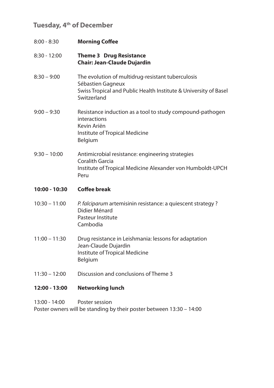## **Tuesday, 4th of December**

| $8:00 - 8:30$   | <b>Morning Coffee</b>                                                                                                                                     |
|-----------------|-----------------------------------------------------------------------------------------------------------------------------------------------------------|
| $8:30 - 12:00$  | <b>Theme 3 Drug Resistance</b><br><b>Chair: Jean-Claude Dujardin</b>                                                                                      |
| $8:30 - 9:00$   | The evolution of multidrug-resistant tuberculosis<br>Sébastien Gagneux<br>Swiss Tropical and Public Health Institute & University of Basel<br>Switzerland |
| $9:00 - 9:30$   | Resistance induction as a tool to study compound-pathogen<br>interactions<br>Kevin Ariën<br>Institute of Tropical Medicine<br>Belgium                     |
| $9:30 - 10:00$  | Antimicrobial resistance: engineering strategies<br>Coralith Garcia<br>Institute of Tropical Medicine Alexander von Humboldt-UPCH<br>Peru                 |
| 10:00 - 10:30   | Coffee break                                                                                                                                              |
| $10:30 - 11:00$ | P. falciparum artemisinin resistance: a quiescent strategy?<br>Didier Ménard<br>Pasteur Institute<br>Cambodia                                             |
| $11:00 - 11:30$ | Drug resistance in Leishmania: lessons for adaptation<br>Jean-Claude Dujardin<br>Institute of Tropical Medicine<br>Belgium                                |

11:30 – 12:00 Discussion and conclusions of Theme 3

### **12:00 - 13:00 Networking lunch**

13:00 - 14:00 Poster session Poster owners will be standing by their poster between 13:30 – 14:00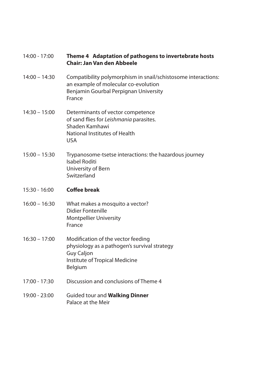| 14:00 - 17:00   | Theme 4 Adaptation of pathogens to invertebrate hosts<br><b>Chair: Jan Van den Abbeele</b>                                                               |
|-----------------|----------------------------------------------------------------------------------------------------------------------------------------------------------|
| $14:00 - 14:30$ | Compatibility polymorphism in snail/schistosome interactions:<br>an example of molecular co-evolution<br>Benjamin Gourbal Perpignan University<br>France |
| $14:30 - 15:00$ | Determinants of vector competence<br>of sand flies for Leishmania parasites.<br>Shaden Kamhawi<br>National Institutes of Health<br><b>USA</b>            |
| $15:00 - 15:30$ | Trypanosome-tsetse interactions: the hazardous journey<br>Isabel Roditi<br>University of Bern<br>Switzerland                                             |
| $15:30 - 16:00$ | <b>Coffee break</b>                                                                                                                                      |
| $16:00 - 16:30$ | What makes a mosquito a vector?<br><b>Didier Fontenille</b><br><b>Montpellier University</b>                                                             |
|                 | France                                                                                                                                                   |
| $16:30 - 17:00$ | Modification of the vector feeding<br>physiology as a pathogen's survival strategy<br><b>Guy Caljon</b><br>Institute of Tropical Medicine<br>Belgium     |
| 17:00 - 17:30   | Discussion and conclusions of Theme 4                                                                                                                    |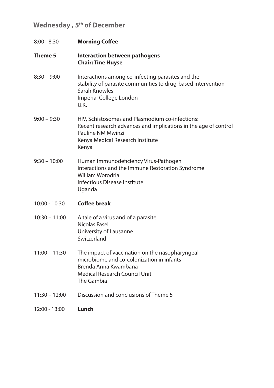## Wednesday, 5<sup>th</sup> of December

| $8:00 - 8:30$   | <b>Morning Coffee</b>                                                                                                                                                                |  |
|-----------------|--------------------------------------------------------------------------------------------------------------------------------------------------------------------------------------|--|
| Theme 5         | <b>Interaction between pathogens</b><br><b>Chair: Tine Huyse</b>                                                                                                                     |  |
| $8:30 - 9:00$   | Interactions among co-infecting parasites and the<br>stability of parasite communities to drug-based intervention<br>Sarah Knowles<br>Imperial College London<br>U.K.                |  |
| $9:00 - 9:30$   | HIV, Schistosomes and Plasmodium co-infections:<br>Recent research advances and implications in the age of control<br>Pauline NM Mwinzi<br>Kenya Medical Research Institute<br>Kenya |  |
| $9:30 - 10:00$  | Human Immunodeficiency Virus-Pathogen<br>interactions and the Immune Restoration Syndrome<br>William Worodria<br>Infectious Disease Institute<br>Uganda                              |  |
| $10:00 - 10:30$ | Coffee break                                                                                                                                                                         |  |
| $10:30 - 11:00$ | A tale of a virus and of a parasite<br>Nicolas Fasel<br>University of Lausanne<br>Switzerland                                                                                        |  |
| $11:00 - 11:30$ | The impact of vaccination on the nasopharyngeal<br>microbiome and co-colonization in infants<br>Brenda Anna Kwambana<br><b>Medical Research Council Unit</b><br>The Gambia           |  |
| $11:30 - 12:00$ | Discussion and conclusions of Theme 5                                                                                                                                                |  |
| 12:00 - 13:00   | Lunch                                                                                                                                                                                |  |
|                 |                                                                                                                                                                                      |  |